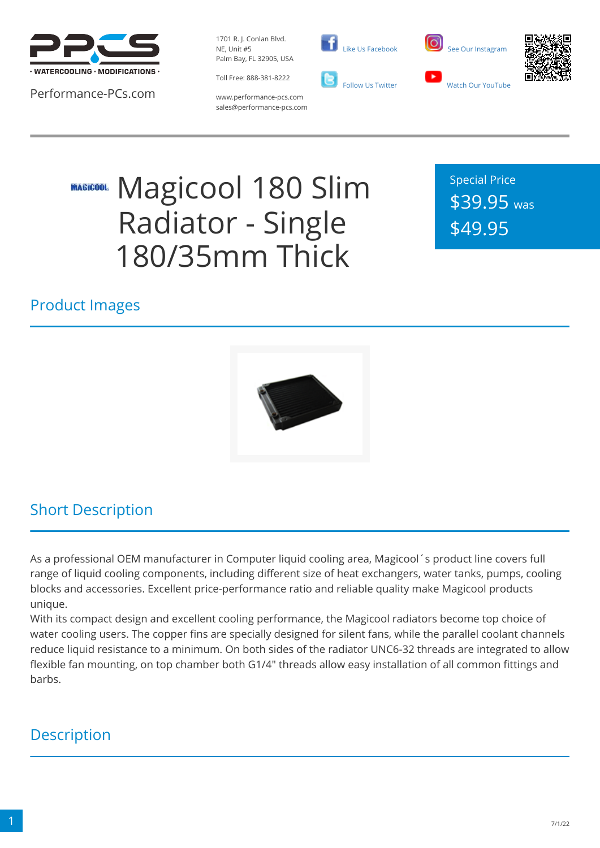

Performance-PCs.com

1701 R. J. Conlan Blvd. NE, Unit #5 Palm Bay, FL 32905, USA

Toll Free: 888-381-8222





www.performance-pcs.com sales@performance-pcs.com

# Magicool 180 Slim **MAGICOOL** Radiator - Single 180/35mm Thick

Special Price \$39.95 was \$49.95

### Product Images



### Short Description

As a professional OEM manufacturer in Computer liquid cooling area, Magicool´s product line covers full range of liquid cooling components, including different size of heat exchangers, water tanks, pumps, cooling blocks and accessories. Excellent price-performance ratio and reliable quality make Magicool products unique.

With its compact design and excellent cooling performance, the Magicool radiators become top choice of water cooling users. The copper fins are specially designed for silent fans, while the parallel coolant channels reduce liquid resistance to a minimum. On both sides of the radiator UNC6-32 threads are integrated to allow flexible fan mounting, on top chamber both G1/4" threads allow easy installation of all common fittings and barbs.

### **Description**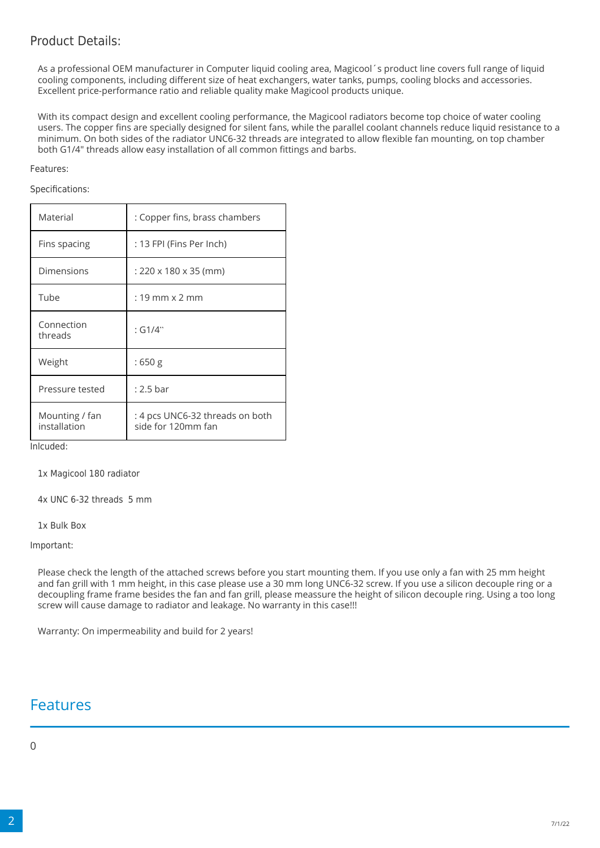### Product Details:

As a professional OEM manufacturer in Computer liquid cooling area, Magicool´s product line covers full range of liquid cooling components, including different size of heat exchangers, water tanks, pumps, cooling blocks and accessories. Excellent price-performance ratio and reliable quality make Magicool products unique.

With its compact design and excellent cooling performance, the Magicool radiators become top choice of water cooling users. The copper fins are specially designed for silent fans, while the parallel coolant channels reduce liquid resistance to a minimum. On both sides of the radiator UNC6-32 threads are integrated to allow flexible fan mounting, on top chamber both G1/4" threads allow easy installation of all common fittings and barbs.

#### Features:

Specifications:

| Material                       | : Copper fins, brass chambers                         |
|--------------------------------|-------------------------------------------------------|
| Fins spacing                   | : 13 FPI (Fins Per Inch)                              |
| Dimensions                     | : 220 x 180 x 35 (mm)                                 |
| Tube                           | $: 19$ mm $\times$ 2 mm                               |
| Connection<br>threads          | : G1/4"                                               |
| Weight                         | :650 g                                                |
| Pressure tested                | $: 2.5 \text{ bar}$                                   |
| Mounting / fan<br>installation | : 4 pcs UNC6-32 threads on both<br>side for 120mm fan |

Inlcuded:

1x Magicool 180 radiator

4x UNC 6-32 threads 5 mm

1x Bulk Box

Important:

Please check the length of the attached screws before you start mounting them. If you use only a fan with 25 mm height and fan grill with 1 mm height, in this case please use a 30 mm long UNC6-32 screw. If you use a silicon decouple ring or a decoupling frame frame besides the fan and fan grill, please meassure the height of silicon decouple ring. Using a too long screw will cause damage to radiator and leakage. No warranty in this case!!!

Warranty: On impermeability and build for 2 years!

### Features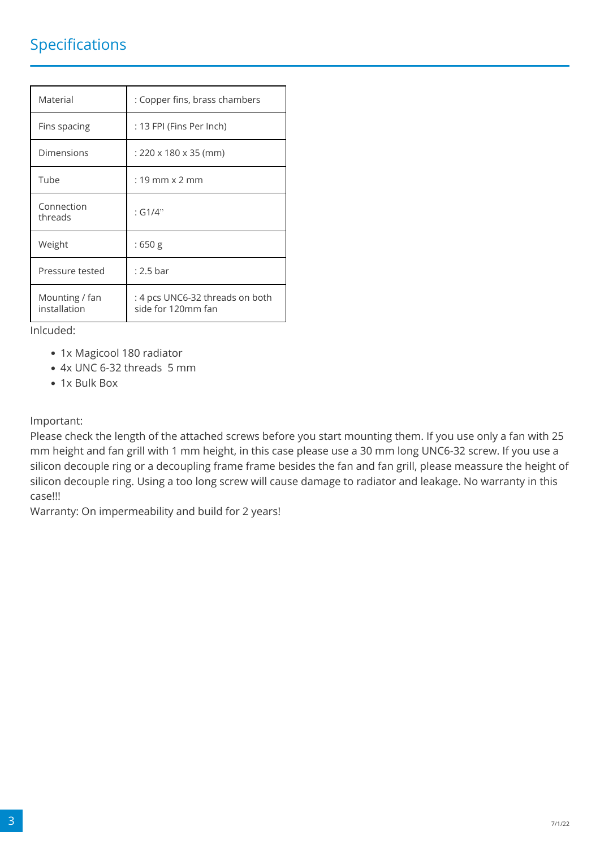### Specifications

| Material                       | : Copper fins, brass chambers                         |
|--------------------------------|-------------------------------------------------------|
| Fins spacing                   | : 13 FPI (Fins Per Inch)                              |
| Dimensions                     | $: 220 \times 180 \times 35$ (mm)                     |
| Tube                           | $: 19$ mm $\times$ 2 mm                               |
| Connection<br>threads          | : G1/4"                                               |
| Weight                         | :650 g                                                |
| Pressure tested                | $: 2.5 \text{ bar}$                                   |
| Mounting / fan<br>installation | : 4 pcs UNC6-32 threads on both<br>side for 120mm fan |

Inlcuded:

- 1x Magicool 180 radiator
- 4x UNC 6-32 threads 5 mm
- 1x Bulk Box

Important:

Please check the length of the attached screws before you start mounting them. If you use only a fan with 25 mm height and fan grill with 1 mm height, in this case please use a 30 mm long UNC6-32 screw. If you use a silicon decouple ring or a decoupling frame frame besides the fan and fan grill, please meassure the height of silicon decouple ring. Using a too long screw will cause damage to radiator and leakage. No warranty in this case!!!

Warranty: On impermeability and build for 2 years!